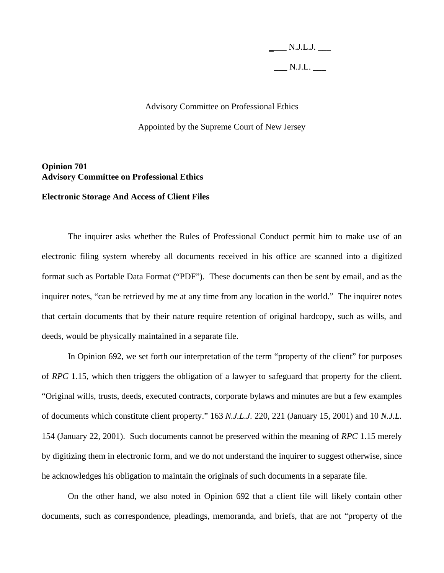**\_**\_\_\_ N.J.L.J. \_\_\_  $N.J.L.$ 

## Advisory Committee on Professional Ethics Appointed by the Supreme Court of New Jersey

## **Opinion 701 Advisory Committee on Professional Ethics**

## **Electronic Storage And Access of Client Files**

 The inquirer asks whether the Rules of Professional Conduct permit him to make use of an electronic filing system whereby all documents received in his office are scanned into a digitized format such as Portable Data Format ("PDF"). These documents can then be sent by email, and as the inquirer notes, "can be retrieved by me at any time from any location in the world." The inquirer notes that certain documents that by their nature require retention of original hardcopy, such as wills, and deeds, would be physically maintained in a separate file.

 In Opinion 692, we set forth our interpretation of the term "property of the client" for purposes of *RPC* 1.15, which then triggers the obligation of a lawyer to safeguard that property for the client. "Original wills, trusts, deeds, executed contracts, corporate bylaws and minutes are but a few examples of documents which constitute client property." 163 *N.J.L.J.* 220, 221 (January 15, 2001) and 10 *N.J.L.* 154 (January 22, 2001). Such documents cannot be preserved within the meaning of *RPC* 1.15 merely by digitizing them in electronic form, and we do not understand the inquirer to suggest otherwise, since he acknowledges his obligation to maintain the originals of such documents in a separate file.

 On the other hand, we also noted in Opinion 692 that a client file will likely contain other documents, such as correspondence, pleadings, memoranda, and briefs, that are not "property of the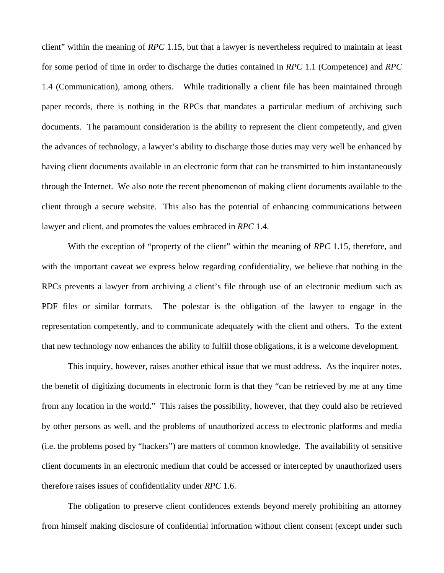client" within the meaning of *RPC* 1.15, but that a lawyer is nevertheless required to maintain at least for some period of time in order to discharge the duties contained in *RPC* 1.1 (Competence) and *RPC* 1.4 (Communication), among others. While traditionally a client file has been maintained through paper records, there is nothing in the RPCs that mandates a particular medium of archiving such documents. The paramount consideration is the ability to represent the client competently, and given the advances of technology, a lawyer's ability to discharge those duties may very well be enhanced by having client documents available in an electronic form that can be transmitted to him instantaneously through the Internet. We also note the recent phenomenon of making client documents available to the client through a secure website. This also has the potential of enhancing communications between lawyer and client, and promotes the values embraced in *RPC* 1.4.

 With the exception of "property of the client" within the meaning of *RPC* 1.15, therefore, and with the important caveat we express below regarding confidentiality, we believe that nothing in the RPCs prevents a lawyer from archiving a client's file through use of an electronic medium such as PDF files or similar formats. The polestar is the obligation of the lawyer to engage in the representation competently, and to communicate adequately with the client and others. To the extent that new technology now enhances the ability to fulfill those obligations, it is a welcome development.

 This inquiry, however, raises another ethical issue that we must address. As the inquirer notes, the benefit of digitizing documents in electronic form is that they "can be retrieved by me at any time from any location in the world." This raises the possibility, however, that they could also be retrieved by other persons as well, and the problems of unauthorized access to electronic platforms and media (i.e. the problems posed by "hackers") are matters of common knowledge. The availability of sensitive client documents in an electronic medium that could be accessed or intercepted by unauthorized users therefore raises issues of confidentiality under *RPC* 1.6.

 The obligation to preserve client confidences extends beyond merely prohibiting an attorney from himself making disclosure of confidential information without client consent (except under such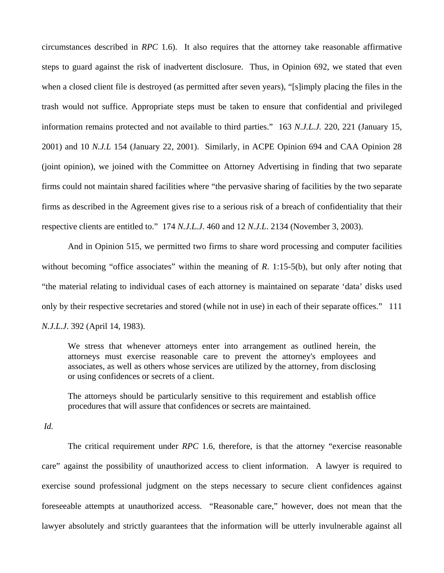circumstances described in *RPC* 1.6). It also requires that the attorney take reasonable affirmative steps to guard against the risk of inadvertent disclosure. Thus, in Opinion 692, we stated that even when a closed client file is destroyed (as permitted after seven years), "[s]imply placing the files in the trash would not suffice. Appropriate steps must be taken to ensure that confidential and privileged information remains protected and not available to third parties." 163 *N.J.L.J.* 220, 221 (January 15, 2001) and 10 *N.J.L* 154 (January 22, 2001). Similarly, in ACPE Opinion 694 and CAA Opinion 28 (joint opinion), we joined with the Committee on Attorney Advertising in finding that two separate firms could not maintain shared facilities where "the pervasive sharing of facilities by the two separate firms as described in the Agreement gives rise to a serious risk of a breach of confidentiality that their respective clients are entitled to." 174 *N.J.L.J*. 460 and 12 *N.J.L*. 2134 (November 3, 2003).

 And in Opinion 515, we permitted two firms to share word processing and computer facilities without becoming "office associates" within the meaning of *R*. 1:15-5(b), but only after noting that "the material relating to individual cases of each attorney is maintained on separate 'data' disks used only by their respective secretaries and stored (while not in use) in each of their separate offices." 111 *N.J.L.J*. 392 (April 14, 1983).

We stress that whenever attorneys enter into arrangement as outlined herein, the attorneys must exercise reasonable care to prevent the attorney's employees and associates, as well as others whose services are utilized by the attorney, from disclosing or using confidences or secrets of a client.

The attorneys should be particularly sensitive to this requirement and establish office procedures that will assure that confidences or secrets are maintained.

*Id.* 

 The critical requirement under *RPC* 1.6, therefore, is that the attorney "exercise reasonable care" against the possibility of unauthorized access to client information. A lawyer is required to exercise sound professional judgment on the steps necessary to secure client confidences against foreseeable attempts at unauthorized access. "Reasonable care," however, does not mean that the lawyer absolutely and strictly guarantees that the information will be utterly invulnerable against all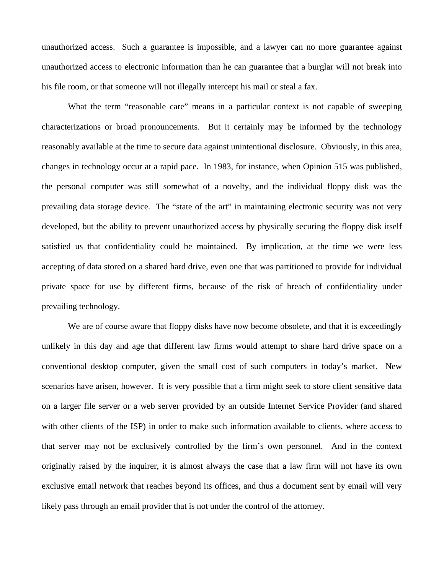unauthorized access. Such a guarantee is impossible, and a lawyer can no more guarantee against unauthorized access to electronic information than he can guarantee that a burglar will not break into his file room, or that someone will not illegally intercept his mail or steal a fax.

What the term "reasonable care" means in a particular context is not capable of sweeping characterizations or broad pronouncements. But it certainly may be informed by the technology reasonably available at the time to secure data against unintentional disclosure. Obviously, in this area, changes in technology occur at a rapid pace. In 1983, for instance, when Opinion 515 was published, the personal computer was still somewhat of a novelty, and the individual floppy disk was the prevailing data storage device. The "state of the art" in maintaining electronic security was not very developed, but the ability to prevent unauthorized access by physically securing the floppy disk itself satisfied us that confidentiality could be maintained. By implication, at the time we were less accepting of data stored on a shared hard drive, even one that was partitioned to provide for individual private space for use by different firms, because of the risk of breach of confidentiality under prevailing technology.

We are of course aware that floppy disks have now become obsolete, and that it is exceedingly unlikely in this day and age that different law firms would attempt to share hard drive space on a conventional desktop computer, given the small cost of such computers in today's market. New scenarios have arisen, however. It is very possible that a firm might seek to store client sensitive data on a larger file server or a web server provided by an outside Internet Service Provider (and shared with other clients of the ISP) in order to make such information available to clients, where access to that server may not be exclusively controlled by the firm's own personnel. And in the context originally raised by the inquirer, it is almost always the case that a law firm will not have its own exclusive email network that reaches beyond its offices, and thus a document sent by email will very likely pass through an email provider that is not under the control of the attorney.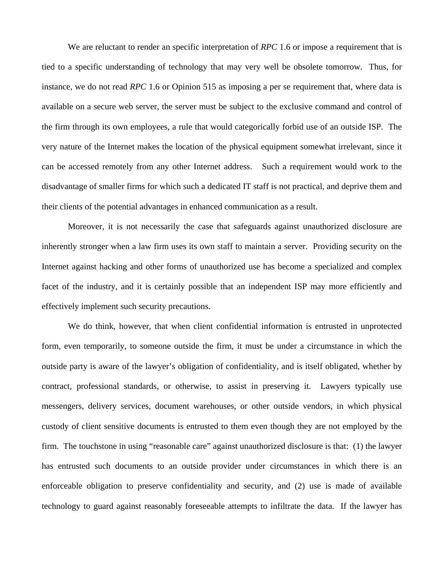We are reluctant to render an specific interpretation of *RPC* 1.6 or impose a requirement that is tied to a specific understanding of technology that may very well be obsolete tomorrow. Thus, for instance, we do not read *RPC* 1.6 or Opinion 515 as imposing a per se requirement that, where data is available on a secure web server, the server must be subject to the exclusive command and control of the firm through its own employees, a rule that would categorically forbid use of an outside ISP. The very nature of the Internet makes the location of the physical equipment somewhat irrelevant, since it can be accessed remotely from any other Internet address. Such a requirement would work to the disadvantage of smaller firms for which such a dedicated IT staff is not practical, and deprive them and their clients of the potential advantages in enhanced communication as a result.

 Moreover, it is not necessarily the case that safeguards against unauthorized disclosure are inherently stronger when a law firm uses its own staff to maintain a server. Providing security on the Internet against hacking and other forms of unauthorized use has become a specialized and complex facet of the industry, and it is certainly possible that an independent ISP may more efficiently and effectively implement such security precautions.

 We do think, however, that when client confidential information is entrusted in unprotected form, even temporarily, to someone outside the firm, it must be under a circumstance in which the outside party is aware of the lawyer's obligation of confidentiality, and is itself obligated, whether by contract, professional standards, or otherwise, to assist in preserving it. Lawyers typically use messengers, delivery services, document warehouses, or other outside vendors, in which physical custody of client sensitive documents is entrusted to them even though they are not employed by the firm. The touchstone in using "reasonable care" against unauthorized disclosure is that: (1) the lawyer has entrusted such documents to an outside provider under circumstances in which there is an enforceable obligation to preserve confidentiality and security, and (2) use is made of available technology to guard against reasonably foreseeable attempts to infiltrate the data. If the lawyer has